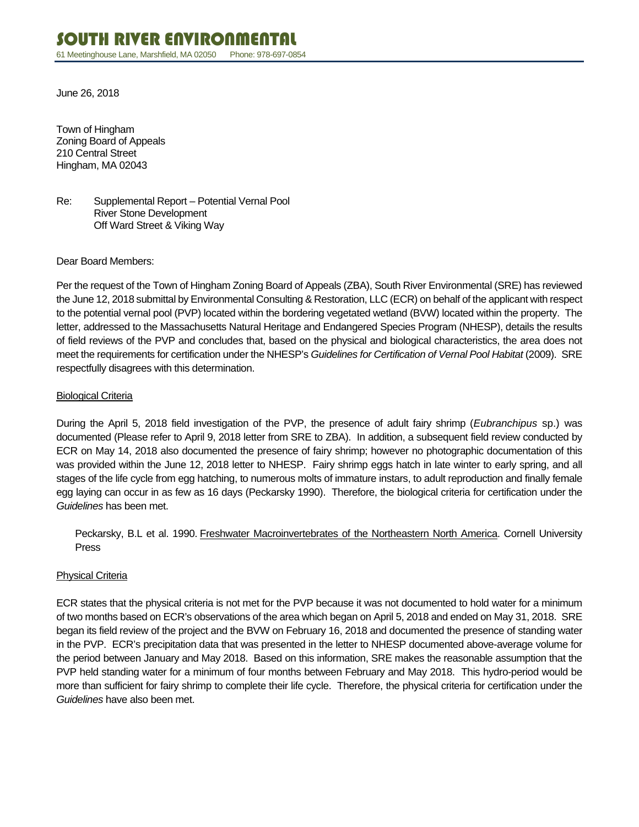June 26, 2018

Town of Hingham Zoning Board of Appeals 210 Central Street Hingham, MA 02043

Re: Supplemental Report – Potential Vernal Pool River Stone Development Off Ward Street & Viking Way

Dear Board Members:

Per the request of the Town of Hingham Zoning Board of Appeals (ZBA), South River Environmental (SRE) has reviewed the June 12, 2018 submittal by Environmental Consulting & Restoration, LLC (ECR) on behalf of the applicant with respect to the potential vernal pool (PVP) located within the bordering vegetated wetland (BVW) located within the property. The letter, addressed to the Massachusetts Natural Heritage and Endangered Species Program (NHESP), details the results of field reviews of the PVP and concludes that, based on the physical and biological characteristics, the area does not meet the requirements for certification under the NHESP's *Guidelines for Certification of Vernal Pool Habitat* (2009). SRE respectfully disagrees with this determination.

### Biological Criteria

During the April 5, 2018 field investigation of the PVP, the presence of adult fairy shrimp (*Eubranchipus* sp.) was documented (Please refer to April 9, 2018 letter from SRE to ZBA). In addition, a subsequent field review conducted by ECR on May 14, 2018 also documented the presence of fairy shrimp; however no photographic documentation of this was provided within the June 12, 2018 letter to NHESP. Fairy shrimp eggs hatch in late winter to early spring, and all stages of the life cycle from egg hatching, to numerous molts of immature instars, to adult reproduction and finally female egg laying can occur in as few as 16 days (Peckarsky 1990). Therefore, the biological criteria for certification under the *Guidelines* has been met.

Peckarsky, B.L et al. 1990. Freshwater Macroinvertebrates of the Northeastern North America. Cornell University Press

# Physical Criteria

ECR states that the physical criteria is not met for the PVP because it was not documented to hold water for a minimum of two months based on ECR's observations of the area which began on April 5, 2018 and ended on May 31, 2018. SRE began its field review of the project and the BVW on February 16, 2018 and documented the presence of standing water in the PVP. ECR's precipitation data that was presented in the letter to NHESP documented above-average volume for the period between January and May 2018. Based on this information, SRE makes the reasonable assumption that the PVP held standing water for a minimum of four months between February and May 2018. This hydro-period would be more than sufficient for fairy shrimp to complete their life cycle. Therefore, the physical criteria for certification under the *Guidelines* have also been met.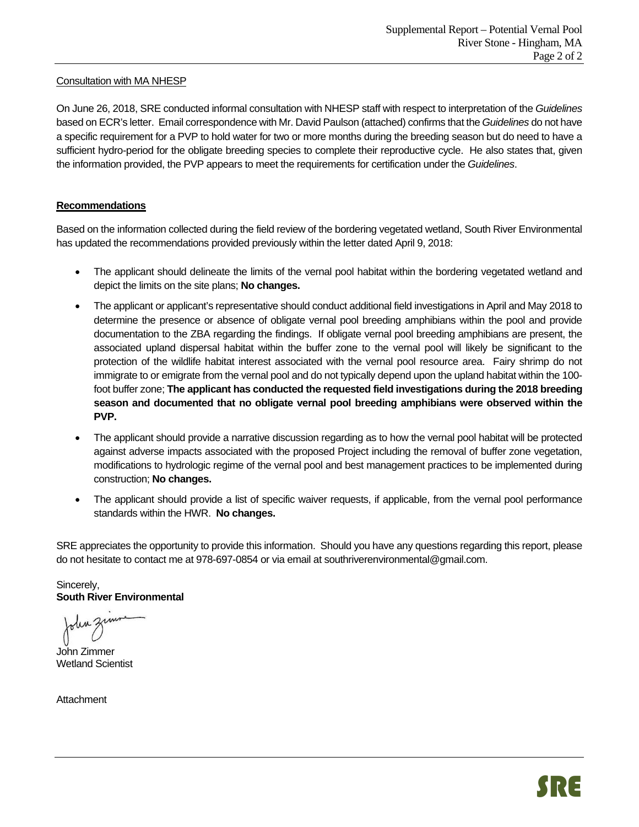# Consultation with MA NHESP

On June 26, 2018, SRE conducted informal consultation with NHESP staff with respect to interpretation of the *Guidelines*  based on ECR's letter. Email correspondence with Mr. David Paulson (attached) confirms that the *Guidelines* do not have a specific requirement for a PVP to hold water for two or more months during the breeding season but do need to have a sufficient hydro-period for the obligate breeding species to complete their reproductive cycle. He also states that, given the information provided, the PVP appears to meet the requirements for certification under the *Guidelines*.

# **Recommendations**

Based on the information collected during the field review of the bordering vegetated wetland, South River Environmental has updated the recommendations provided previously within the letter dated April 9, 2018:

- The applicant should delineate the limits of the vernal pool habitat within the bordering vegetated wetland and depict the limits on the site plans; **No changes.**
- The applicant or applicant's representative should conduct additional field investigations in April and May 2018 to determine the presence or absence of obligate vernal pool breeding amphibians within the pool and provide documentation to the ZBA regarding the findings. If obligate vernal pool breeding amphibians are present, the associated upland dispersal habitat within the buffer zone to the vernal pool will likely be significant to the protection of the wildlife habitat interest associated with the vernal pool resource area. Fairy shrimp do not immigrate to or emigrate from the vernal pool and do not typically depend upon the upland habitat within the 100 foot buffer zone; **The applicant has conducted the requested field investigations during the 2018 breeding season and documented that no obligate vernal pool breeding amphibians were observed within the PVP.**
- The applicant should provide a narrative discussion regarding as to how the vernal pool habitat will be protected against adverse impacts associated with the proposed Project including the removal of buffer zone vegetation, modifications to hydrologic regime of the vernal pool and best management practices to be implemented during construction; **No changes.**
- The applicant should provide a list of specific waiver requests, if applicable, from the vernal pool performance standards within the HWR. **No changes.**

SRE appreciates the opportunity to provide this information. Should you have any questions regarding this report, please do not hesitate to contact me at 978-697-0854 or via email at southriverenvironmental@gmail.com.

Sincerely, **South River Environmental** 

John Zimmer Wetland Scientist

**Attachment**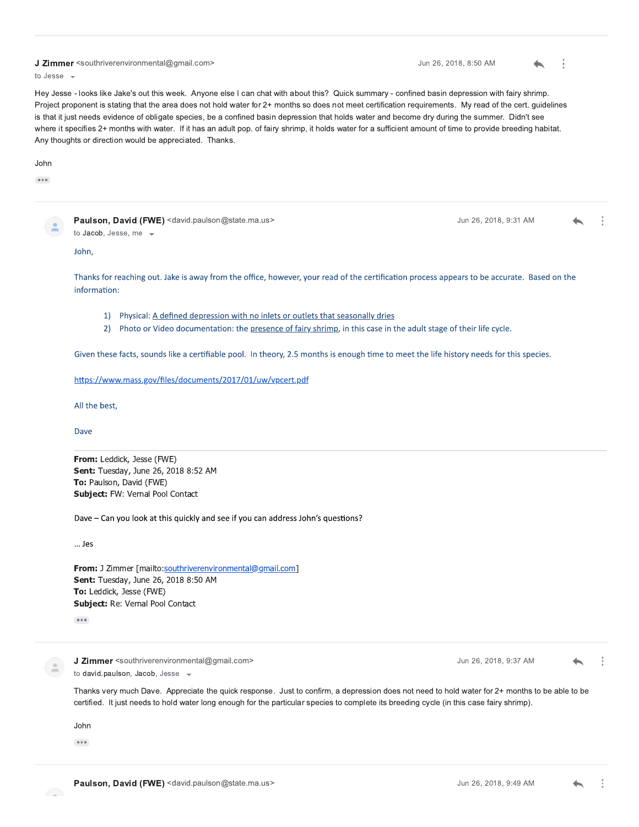#### J Zimmer <southriverenvironmental@gmail.com>

to Jesse  $\sqrt{ }$ 

Hey Jesse - looks like Jake's out this week. Anyone else I can chat with about this? Quick summary - confined basin depression with fairy shrimp. Project proponent is stating that the area does not hold water for 2+ months so does not meet certification requirements. My read of the cert. guidelines is that it just needs evidence of obligate species, be a confined basin depression that holds water and become dry during the summer. Didn't see where it specifies 2+ months with water. If it has an adult pop. of fairy shrimp, it holds water for a sufficient amount of time to provide breeding habitat. Any thoughts or direction would be appreciated. Thanks.

Jun 26, 2018, 8:50 AM

Jun 26, 2018, 9:31 AM

 $\ddot{\cdot}$ 

#### John

 $......$ 

Paulson, David (FWE) <david.paulson@state.ma.us> to Jacob, Jesse, me -

John,

Thanks for reaching out. Jake is away from the office, however, your read of the certification process appears to be accurate. Based on the information:

- 1) Physical: A defined depression with no inlets or outlets that seasonally dries
- 2) Photo or Video documentation: the presence of fairy shrimp, in this case in the adult stage of their life cycle.

Given these facts, sounds like a certifiable pool. In theory, 2.5 months is enough time to meet the life history needs for this species.

https://www.mass.gov/files/documents/2017/01/uw/vpcert.pdf

All the best,

Dave

From: Leddick, Jesse (FWE) Sent: Tuesday, June 26, 2018 8:52 AM To: Paulson, David (FWE) Subject: FW: Vernal Pool Contact

Dave - Can you look at this quickly and see if you can address John's questions?

 $...$  Jes

From: J Zimmer [mailto:southriverenvironmental@gmail.com] Sent: Tuesday, June 26, 2018 8:50 AM To: Leddick, Jesse (FWE) Subject: Re: Vernal Pool Contact

 $......$ 

J Zimmer <southriverenvironmental@gmail.com> to david.paulson, Jacob, Jesse -

Jun 26, 2018, 9:37 AM

Thanks very much Dave. Appreciate the quick response. Just to confirm, a depression does not need to hold water for 2+ months to be able to be certified. It just needs to hold water long enough for the particular species to complete its breeding cycle (in this case fairy shrimp).

John

 $...$ 

**CENT**